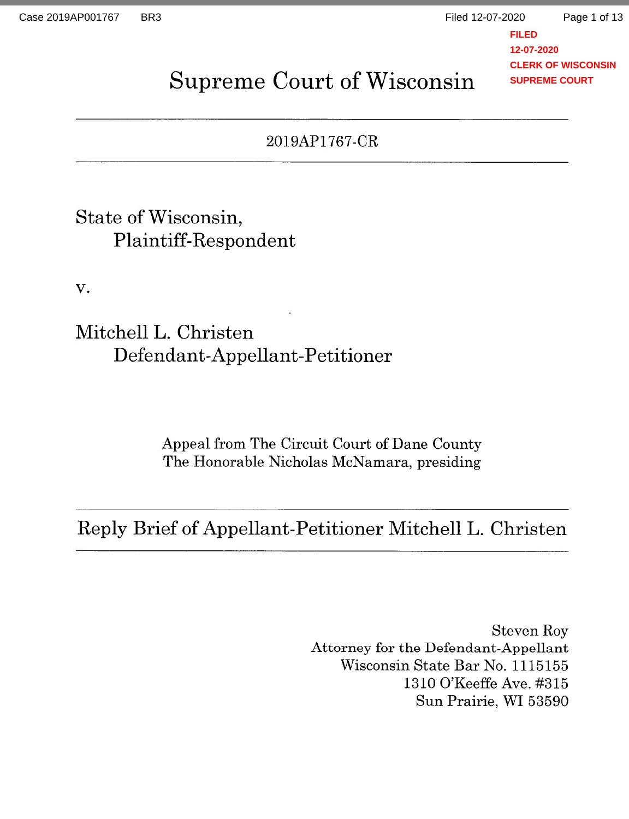Page 1 of 13

**FILED 12-07-2020 CLERK OF WISCONSIN SUPREME COURT**

# Supreme Court of Wisconsin

## 2019AP1767-CR

## State of Wisconsin, Plaintiff-Respondent

V.

Mitchell L. Christen Defendant-Appellant-Petitioner

> Appeal from The Circuit Court of Dane County The Honorable Nicholas McNamara, presiding

Reply Brief of Appellant-Petitioner Mitchell L. Christen

Steven Roy Attorney for the Defendant-Appellant Wisconsin State Bar No. 1115155 1310 O'Keeffe Ave. #315 Sun Prairie, WI 53590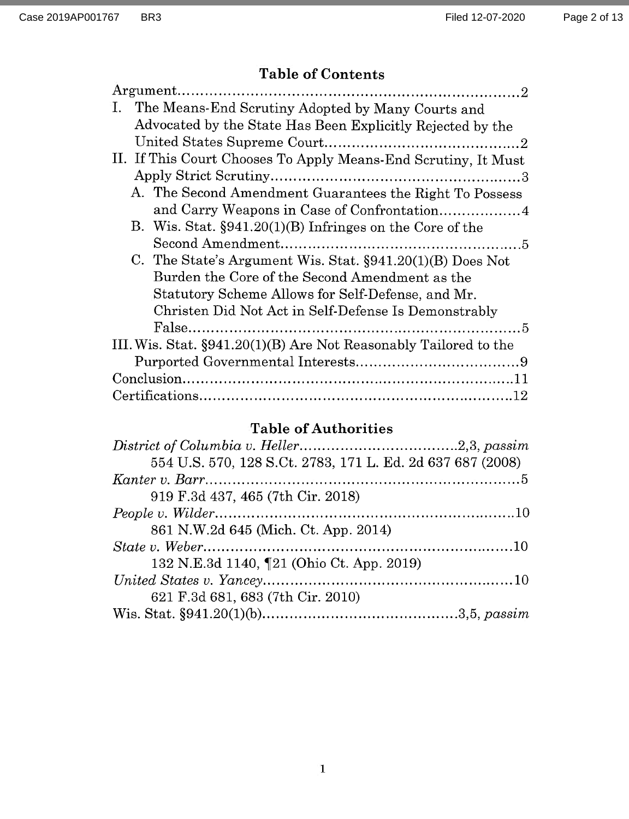## Table of Contents

| Ι.<br>The Means-End Scrutiny Adopted by Many Courts and          |  |
|------------------------------------------------------------------|--|
| Advocated by the State Has Been Explicitly Rejected by the       |  |
|                                                                  |  |
| II. If This Court Chooses To Apply Means-End Scrutiny, It Must   |  |
|                                                                  |  |
| A. The Second Amendment Guarantees the Right To Possess          |  |
|                                                                  |  |
| B. Wis. Stat. §941.20(1)(B) Infringes on the Core of the         |  |
|                                                                  |  |
| C. The State's Argument Wis. Stat. $\S 941.20(1)(B)$ Does Not    |  |
| Burden the Core of the Second Amendment as the                   |  |
| Statutory Scheme Allows for Self-Defense, and Mr.                |  |
| Christen Did Not Act in Self-Defense Is Demonstrably             |  |
|                                                                  |  |
| III. Wis. Stat. §941.20(1)(B) Are Not Reasonably Tailored to the |  |
|                                                                  |  |
|                                                                  |  |
|                                                                  |  |

### Table of Authorities

| 554 U.S. 570, 128 S.Ct. 2783, 171 L. Ed. 2d 637 687 (2008) |  |
|------------------------------------------------------------|--|
|                                                            |  |
| 919 F.3d 437, 465 (7th Cir. 2018)                          |  |
|                                                            |  |
| 861 N.W.2d 645 (Mich. Ct. App. 2014)                       |  |
|                                                            |  |
| 132 N.E.3d 1140, [21 (Ohio Ct. App. 2019)                  |  |
|                                                            |  |
| 621 F.3d 681, 683 (7th Cir. 2010)                          |  |
|                                                            |  |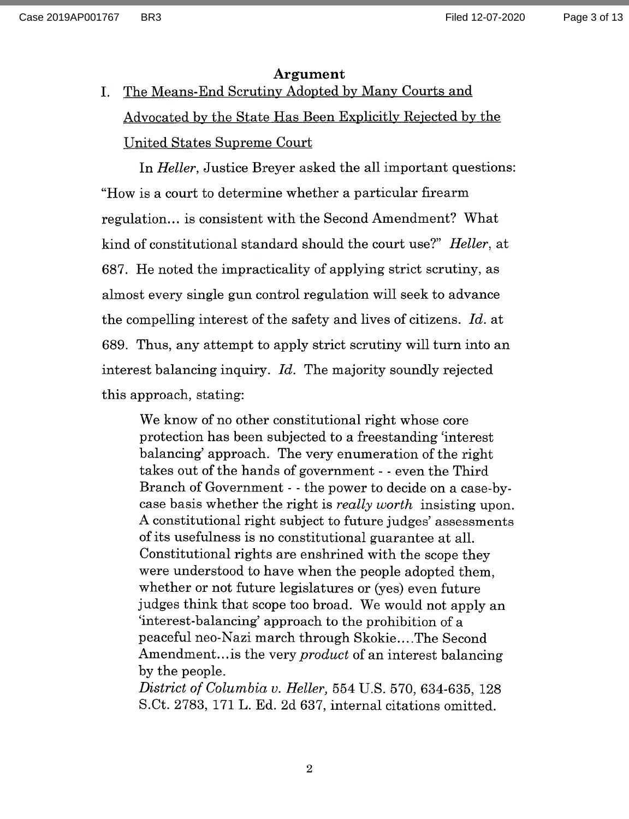#### Argument

I. The Means-End Scrutiny Adopted by Many Courts and Advocated by the State Has Been Explicitly Rejected by the United States Supreme Court

In Heller, Justice Breyer asked the all important questions: "How is a court to determine whether a particular firearm regulation.., is consistent with the Second Amendment? What kind of constitutional standard should the court use?" Heller, at 687. He noted the impracticality of applying strict scrutiny, as almost every single gun control regulation will seek to advance the compelling interest of the safety and lives of citizens. Id. at 689. Thus, any attempt to apply strict scrutiny will turn into an interest balancing inquiry. Id. The majority soundly rejected this approach, stating:

We know of no other constitutional right whose core protection has been subjected to a freestanding 'interest balancing' approach. The very enumeration of the right takes out of the hands of government - - even the Third Branch of Government - - the power to decide on a case-bycase basis whether the right is really worth insisting upon. A constitutional right subject to future judges' assessments of its usefulness is no constitutional guarantee at all. Constitutional rights are enshrined with the scope they were understood to have when the people adopted them, whether or not future legislatures or (yes) even future judges think that scope too broad. We would not apply an 'interest-balancing' approach to the prohibition of a peaceful neo-Nazi march through Skokie... .The Second Amendment... is the very *product* of an interest balancing by the people.

District of Columbia v. Heller, 554 U.S. 570, 634-635, 128 S.Ct. 2783, 171 L. Ed. 2d 637, internal citations omitted.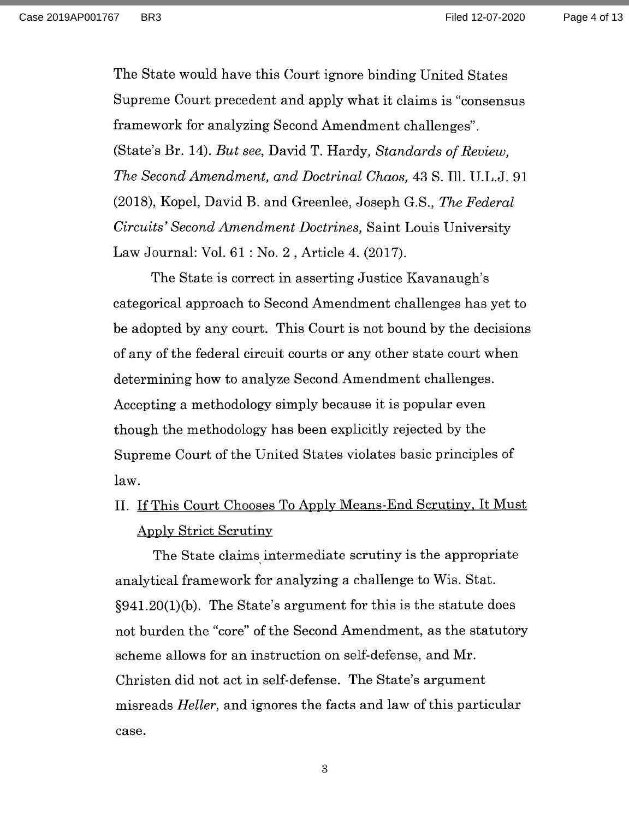Case 2019AP001767 BR3 Filed 12-07-2020

Page 4 of 13

The State would have this Court ignore binding United States Supreme Court precedent and apply what it claims is "consensus framework for analyzing Second Amendment challenges". (State's Br. 14). But see, David T. Hardy, Standards of Review, The Second Amendment, and Doctrinal Chaos, 43 S. Ill. U.L.J. 91 (2018), Kopel, David B. and Greenlee, Joseph G.S., The Federal Circuits' Second Amendment Doctrines, Saint Louis University Law Journal: Vol. 61 : No. 2 , Article 4. (2017).

The State is correct in asserting Justice Kavanaugh's categorical approach to Second Amendment challenges has yet to be adopted by any court. This Court is not bound by the decisions of any of the federal circuit courts or any other state court when determining how to analyze Second Amendment challenges. Accepting a methodology simply because it is popular even though the methodology has been explicitly rejected by the Supreme Court of the United States violates basic principles of law.

II. If This Court Chooses To Apply Means-End Scrutiny, It Must Apply Strict Scrutiny

The State claims intermediate scrutiny is the appropriate analytical framework for analyzing a challenge to Wis. Stat. §941.20(1)(b). The State's argument for this is the statute does not burden the "core" of the Second Amendment, as the statutory scheme allows for an instruction on self-defense, and Mr. Christen did not act in self-defense. The State's argument misreads *Heller*, and ignores the facts and law of this particular case.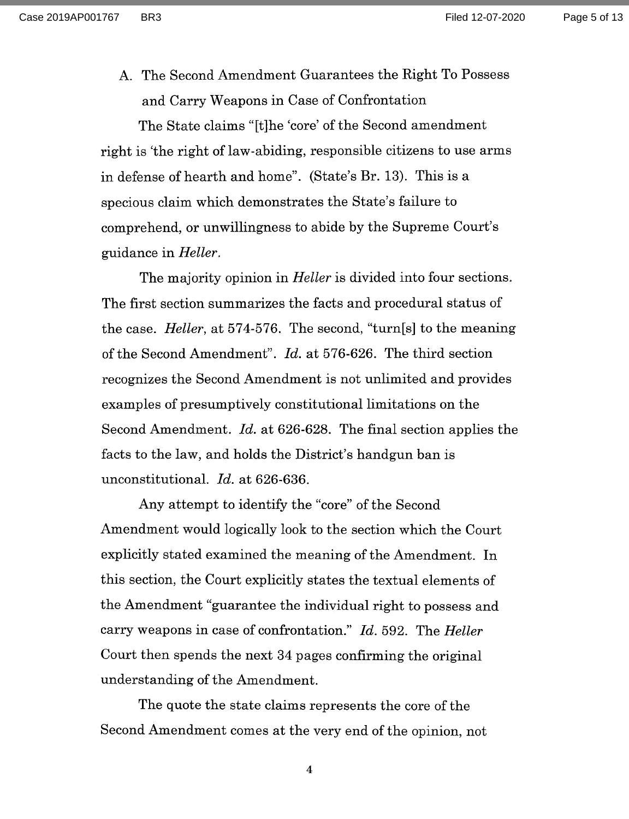Case 2019AP001767 BR3 Filed 12-07-2020

A. The Second Amendment Guarantees the Right To Possess and Carry Weapons in Case of Confrontation

The State claims "[t]he 'core' of the Second amendment right is 'the right of law-abiding, responsible citizens to use arms in defense of hearth and home". (State's Br. 13). This is a specious claim which demonstrates the State's failure to comprehend, or unwillingness to abide by the Supreme Court's guidance in Heller.

The majority opinion in *Heller* is divided into four sections. The first section summarizes the facts and procedural status of the case. Heller, at 574-576. The second, "turn[s] to the meaning of the Second Amendment". Id. at 576-626. The third section recognizes the Second Amendment is not unlimited and provides examples of presumptively constitutional limitations on the Second Amendment. Id. at 626-628. The final section applies the facts to the law, and holds the District's handgun ban is unconstitutional. Id. at 626-636.

Any attempt to identify the "core" of the Second Amendment would logically look to the section which the Court explicitly stated examined the meaning of the Amendment. In this section, the Court explicitly states the textual elements of the Amendment "guarantee the individual right to possess and carry weapons in case of confrontation." Id. 592. The Heller Court then spends the next 34 pages confirming the original understanding of the Amendment.

The quote the state claims represents the core of the Second Amendment comes at the very end of the opinion, not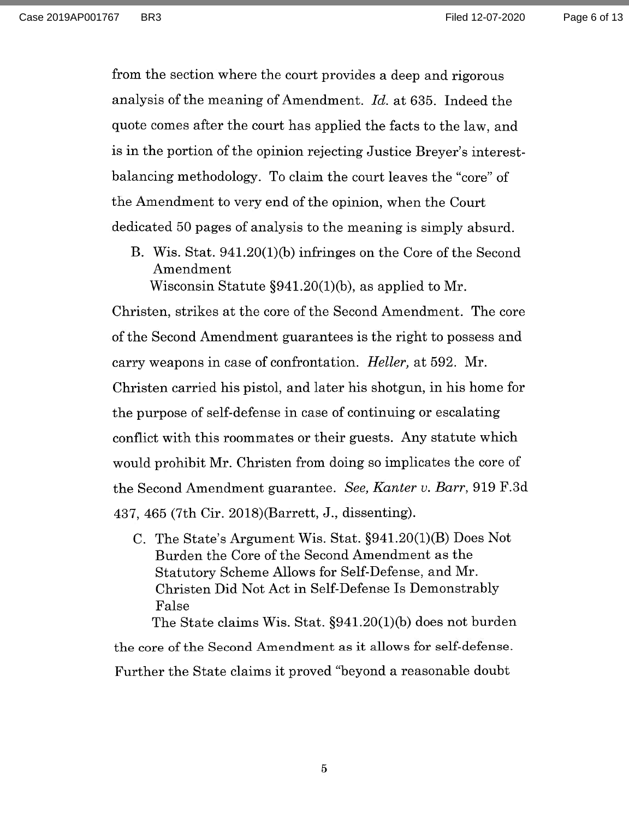Page 6 of 13

from the section where the court provides a deep and rigorous analysis of the meaning of Amendment. Id. at 635. Indeed the quote comes after the court has applied the facts to the law, and is in the portion of the opinion rejecting Justice Breyer's interestbalancing methodology. To claim the court leaves the "core" of the Amendment to very end of the opinion, when the Court dedicated 50 pages of analysis to the meaning is simply absurd.

B. Wis. Stat. 941.20(1)(b) infringes on the Core of the Second Amendment Wisconsin Statute §941.20(1)(b), as applied to Mr.

Christen, strikes at the core of the Second Amendment. The core of the Second Amendment guarantees is the right to possess and carry weapons in case of confrontation. Heller, at 592. Mr. Christen carried his pistol, and later his shotgun, in his home for the purpose of self-defense in case of continuing or escalating conflict with this roommates or their guests. Any statute which would prohibit Mr. Christen from doing so implicates the core of the Second Amendment guarantee. See, Kanter v. Barr, 919 F.3d 437, 465 (7th Cir. 2018)(Barrett, J., dissenting).

C. The State's Argument Wis. Stat. §941.20(1)(B) Does Not Burden the Core of the Second Amendment as the Statutory Scheme Allows for Self-Defense, and Mr. Christen Did Not Act in Self-Defense Is Demonstrably False

The State claims Wis. Stat. §941.20(1)(b) does not burden the core of the Second Amendment as it allows for self-defense. Further the State claims it proved "beyond a reasonable doubt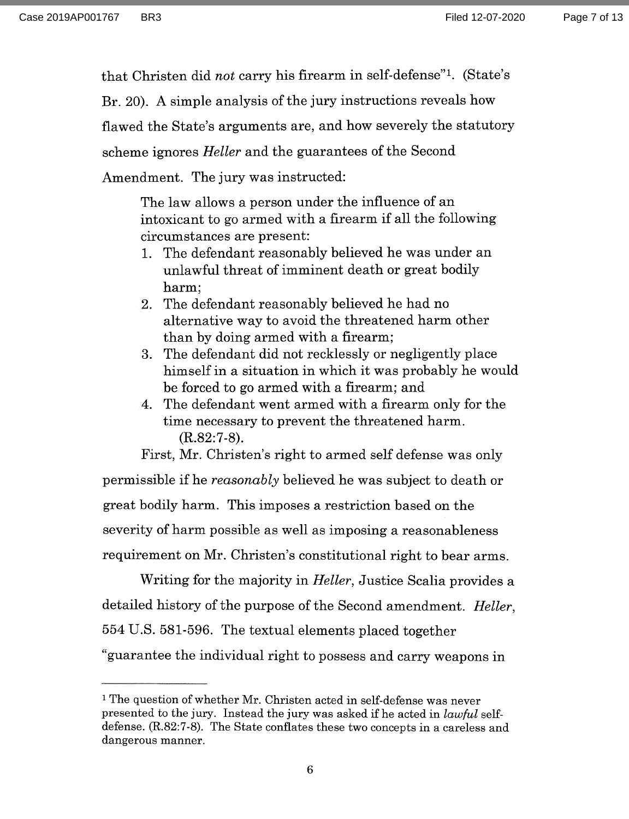that Christen did not carry his firearm in self-defense". (State's

Br. 20). A simple analysis of the jury instructions reveals how

flawed the State's arguments are, and how severely the statutory

scheme ignores Heller and the guarantees of the Second

Amendment. The jury was instructed:

The law allows a person under the influence of an intoxicant to go armed with a firearm if all the following circumstances are present:

- 1. The defendant reasonably believed he was under an unlawful threat of imminent death or great bodily harm;
- 2. The defendant reasonably believed he had no alternative way to avoid the threatened harm other than by doing armed with a firearm;
- 3. The defendant did not recklessly or negligently place himself in a situation in which it was probably he would be forced to go armed with a firearm; and
- 4. The defendant went armed with a firearm only for the time necessary to prevent the threatened harm. (R.82:7-8).

First, Mr. Christen's right to armed self defense was only permissible if he reasonably believed he was subject to death or great bodily harm. This imposes a restriction based on the severity of harm possible as well as imposing a reasonableness requirement on Mr. Christen's constitutional right to bear arms.

Writing for the majority in *Heller*, Justice Scalia provides a detailed history of the purpose of the Second amendment. Heller, 554 U.S. 581-596. The textual elements placed together "guarantee the individual right to possess and carry weapons in

<sup>&</sup>lt;sup>1</sup> The question of whether Mr. Christen acted in self-defense was never presented to the jury. Instead the jury was asked if he acted in lawful selfdefense. (R.82:7-8). The State conflates these two concepts in a careless and dangerous manner.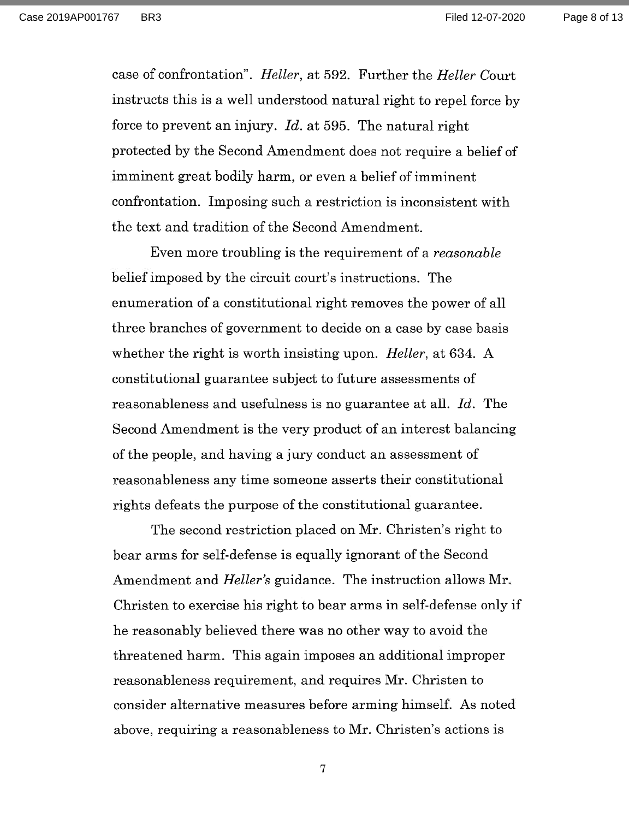Page 8 of 13

case of confrontation". Heller, at 592. Further the Heller Court instructs this is a well understood natural right to repel force by force to prevent an injury.  $Id.$  at 595. The natural right protected by the Second Amendment does not require a belief of imminent great bodily harm, or even a belief of imminent confrontation. Imposing such a restriction is inconsistent with the text and tradition of the Second Amendment.

Even more troubling is the requirement of a reasonable belief imposed by the circuit court's instructions. The enumeration of a constitutional right removes the power of all three branches of government to decide on a case by case basis whether the right is worth insisting upon. *Heller*, at 634. A constitutional guarantee subject to future assessments of reasonableness and usefulness is no guarantee at all. Id. The Second Amendment is the very product of an interest balancing of the people, and having a jury conduct an assessment of reasonableness any time someone asserts their constitutional rights defeats the purpose of the constitutional guarantee.

The second restriction placed on Mr. Christen's right to bear arms for self-defense is equally ignorant of the Second Amendment and Heller's guidance. The instruction allows Mr. Christen to exercise his right to bear arms in self-defense only if he reasonably believed there was no other way to avoid the threatened harm. This again imposes an additional improper reasonableness requirement, and requires Mr. Christen to consider alternative measures before arming himself. As noted above, requiring a reasonableness to Mr. Christen's actions is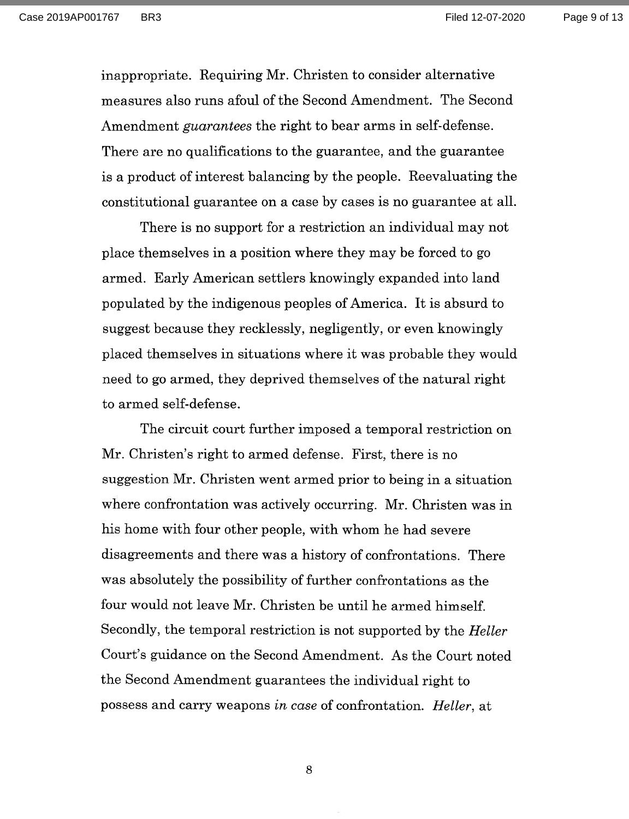Page 9 of 13

inappropriate. Requiring Mr. Christen to consider alternative measures also runs afoul of the Second Amendment. The Second Amendment guarantees the right to bear arms in self-defense. There are no qualifications to the guarantee, and the guarantee is a product of interest balancing by the people. Reevaluating the constitutional guarantee on a case by cases is no guarantee at all.

There is no support for a restriction an individual may not place themselves in a position where they may be forced to go armed. Early American settlers knowingly expanded into land populated by the indigenous peoples of America. It is absurd to suggest because they recklessly, negligently, or even knowingly placed themselves in situations where it was probable they would need to go armed, they deprived themselves of the natural right to armed self-defense.

The circuit court further imposed a temporal restriction on Mr. Christen's right to armed defense. First, there is no suggestion Mr. Christen went armed prior to being in a situation where confrontation was actively occurring. Mr. Christen was in his home with four other people, with whom he had severe disagreements and there was a history of confrontations. There was absolutely the possibility of further confrontations as the four would not leave Mr. Christen be until he armed himself. Secondly, the temporal restriction is not supported by the Heller Court's guidance on the Second Amendment. As the Court noted the Second Amendment guarantees the individual right to possess and carry weapons in case of confrontation. Heller, at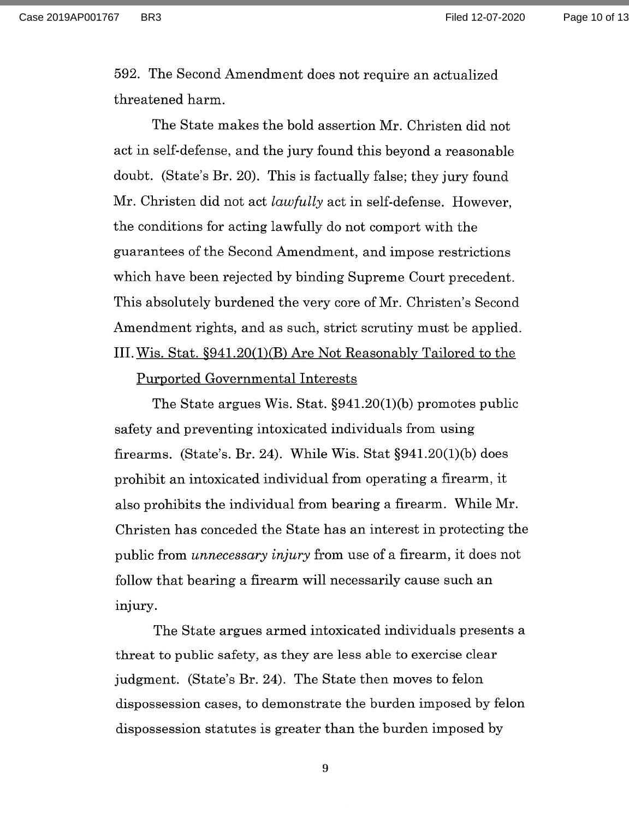Case 2019AP001767 BR3 Filed 12-07-2020

Page 10 of 13

592. The Second Amendment does not require an actualized threatened harm.

The State makes the bold assertion Mr. Christen did not act in self-defense, and the jury found this beyond a reasonable doubt. (State's Br. 20). This is factually false; they jury found Mr. Christen did not act lawfully act in self-defense. However, the conditions for acting lawfully do not comport with the guarantees of the Second Amendment, and impose restrictions which have been rejected by binding Supreme Court precedent. This absolutely burdened the very core of Mr. Christen's Second Amendment rights, and as such, strict scrutiny must be applied. III. Wis. Stat. §941.20(1)(B) Are Not Reasonably Tailored to the

#### Purported Governmental Interests

The State argues Wis. Stat. §941.20(1)(b) promotes public safety and preventing intoxicated individuals from using firearms. (State's. Br. 24). While Wis. Stat  $\S 941.20(1)(b)$  does prohibit an intoxicated individual from operating a firearm, it also prohibits the individual from bearing a firearm. While Mr. Christen has conceded the State has an interest in protecting the public from unnecessary injury from use of a firearm, it does not follow that bearing a firearm will necessarily cause such an injury.

The State argues armed intoxicated individuals presents a threat to public safety, as they are less able to exercise clear judgment. (State's Br. 24). The State then moves to felon dispossession cases, to demonstrate the burden imposed by felon dispossession statutes is greater than the burden imposed by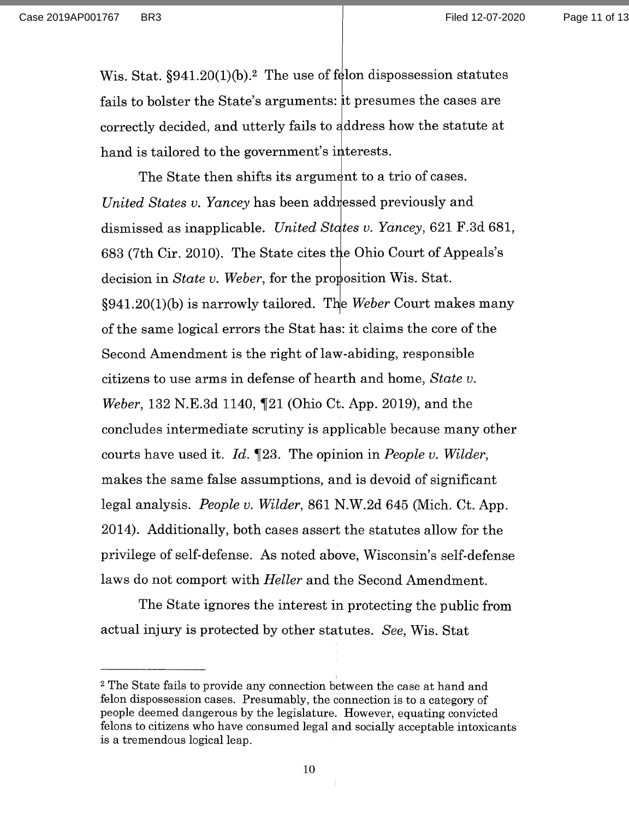Page 11 of 13

Wis. Stat.  $§941.20(1)(b).$ <sup>2</sup> The use of felon dispossession statutes fails to bolster the State's arguments: it presumes the cases are correctly decided, and utterly fails to ddress how the statute at hand is tailored to the government's interests.

The State then shifts its argument to a trio of cases.  $United\ States\ v.\ Yancey$  has been addressed previously and dismissed as inapplicable. United States v. Yancey, 621 F.3d 681, 683 (7th Cir. 2010). The State cites the Ohio Court of Appeals's decision in *State v. Weber*, for the proposition Wis. Stat.  $§941.20(1)$  is narrowly tailored. The Weber Court makes many of the same logical errors the Stat has: it claims the core of the Second Amendment is the right of law-abiding, responsible citizens to use arms in defense of hearth and home, State v. Weber, 132 N.E.3d 1140, ¶21 (Ohio Ct. App. 2019), and the concludes intermediate scrutiny is applicable because many other courts have used it.  $Id. \P 23.$  The opinion in People v. Wilder, makes the same false assumptions, and is devoid of significant legal analysis. People v. Wilder, 861 N.W.2d 645 (Mich. Ct. App. 2014). Additionally, both cases assert the statutes allow for the privilege of self-defense. As noted above, Wisconsin's self-defense laws do not comport with Heller and the Second Amendment.

The State ignores the interest in protecting the public from actual injury is protected by other statutes. See, Wis. Stat

<sup>2</sup> The State fails to provide any connection between the case at hand and felon dispossession cases. Presumably, the connection is to a category of people deemed dangerous by the legislature. However, equating convicted felons to citizens who have consumed legal and socially acceptable intoxicants is a tremendous logical leap.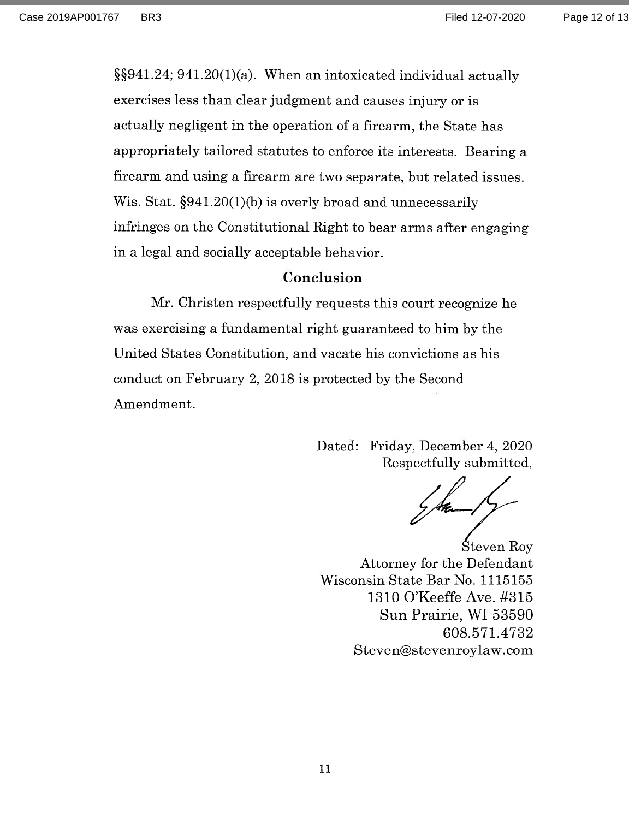Page 12 of 13

§§941.24; 941.20(1)(a). When an intoxicated individual actually exercises less than clear judgment and causes injury or is actually negligent in the operation of a firearm, the State has appropriately tailored statutes to enforce its interests. Bearing a firearm and using a firearm are two separate, but related issues. Wis. Stat. §941.20(1)(b) is overly broad and unnecessarily infringes on the Constitutional Right to bear arms after engaging in a legal and socially acceptable behavior.

#### Conclusion

Mr. Christen respectfully requests this court recognize he was exercising a fundamental right guaranteed to him by the United States Constitution, and vacate his convictions as his conduct on February 2, 2018 is protected by the Second Amendment.

> Dated: Friday, December 4, 2020 Respectfully submitted,

Steven Roy Attorney for the Defendant Wisconsin State Bar No. 1115155 1310 O'Keeffe Ave. #315 Sun Prairie, WI 53590 608.571.4732 Steven@stevenroylaw.com